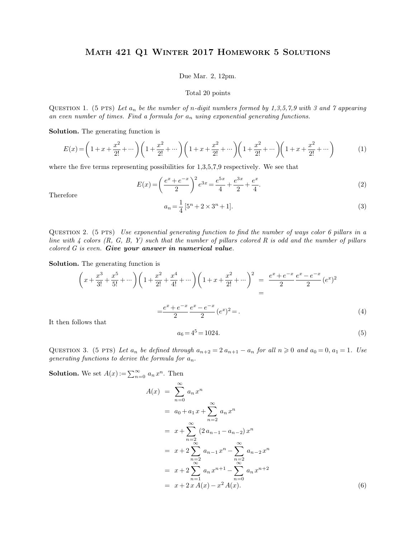## Math 421 Q1 Winter 2017 Homework 5 Solutions MATH 421 Q1 WINTER 2017 HOMEWORK 5 SOLUTIONS<br>Due Mar. 2, 12pm.<br>Total 20 points  $R$  2017  $HOMEW$ <br>
ue Mar. 2, 12pm.<br>
Total 20 points

Due Mar. 2, 12pm.<br>
Total 20 points<br>
QUESTION 1. (5 PTS) *Let*  $a_n$  *be the number of n-digit numbers formed by 1,3,5,7,9 with 3 and 7 appearing*<br>
an even number of times. Find a formula for  $a_n$  using exponential generatin **b**<br>**an even number of times. Find a formula for**  $a_n$  **using exponential generating functions.<br>Solution The conception function is** QUESTION 1. (5 PTS) Let  $a_n$  be the number of an even number of times. Find a formula for **Solution.** The generating function is

**Solution.** The generating function is

From the general form of 
$$
x
$$
 is a formula for  $a_n$  using exponential generating functions.

\nFrom the generating function is

\n
$$
E(x) = \left(1 + x + \frac{x^2}{2!} + \cdots\right) \left(1 + \frac{x^2}{2!} + \cdots\right) \left(1 + x + \frac{x^2}{2!} + \cdots\right) \left(1 + \frac{x^2}{2!} + \cdots\right) \left(1 + x + \frac{x^2}{2!} + \cdots\right) \qquad (1)
$$

where the five terms representing possibilities for  $1,3,5,7,9$  respectively. We see that

$$
E(x) = \left(\frac{e^x + e^{-x}}{2}\right)^2 e^{3x} = \frac{e^{5x}}{4} + \frac{e^{3x}}{2} + \frac{e^x}{4}.
$$
  
\n
$$
a_n = \frac{1}{4} [5^n + 2 \times 3^n + 1].
$$
\n(3)

Therefore

$$
a_n = \frac{1}{4} [5^n + 2 \times 3^n + 1].
$$
\n(3)

Therefore<br>  $a_n = \frac{1}{4} [5^n + 2 \times 3^n + 1].$  (3)<br>
QUESTION 2. (5 PTS) *Use exponential generating function to find the number of ways color 6 pillars in a*<br>
line with 4 colors (R, G, B, Y) such that the number of pillars colore *d<sub>n</sub>* =  $\frac{1}{4}$  [5<sup>n</sup> + 2 × 3<sup>n</sup> + 1]. (3)<br>QUESTION 2. (5 PTS) *Use exponential generating function to find the number of ways color 6 pillars in a<br>line with 4 colors (R, G, B, Y) such that the number of pillars colore* QUESTION 2. (5 PTS) Use exponential generating function to find<br>line with 4 colors (R, G, B, Y) such that the number of pillars colored G is even. **Give your answer in numerical value**.<br>**Solution.** The generating function colored  $G$  is even. **Give your answer in numerical value.**<br>**Solution.** The generating function is

Since with 4 colors (R, G, B, I) such that the number of pluars colored R is odd and the number of pluars colored G is even. Give your answer in numerical value.

\nSolution. The generating function is

\n
$$
\left(x + \frac{x^3}{3!} + \frac{x^5}{5!} + \cdots \right) \left(1 + \frac{x^2}{2!} + \frac{x^4}{4!} + \cdots \right) \left(1 + x + \frac{x^2}{2!} + \cdots \right)^2 = \frac{e^x + e^{-x}}{2} \frac{e^x - e^{-x}}{2} (e^x)^2
$$
\n
$$
= \frac{e^x + e^{-x}}{2} \frac{e^x - e^{-x}}{2} (e^x)^2 = 0
$$
\nIt then follows that

\n
$$
a_6 = 4^5 = 1024.
$$
\n(5)

\nCorresponding 2. (5.273),  $f(x, y) = 1$ ,  $f(x, y) = 0$ ,  $f(x, y) = 0$ ,  $f(x, y) = 0$ ,  $f(x, y) = 0$ ,  $f(x, y) = 0$ ,  $f(x, y) = 0$ ,  $f(x, y) = 0$ ,  $f(x, y) = 0$ ,  $f(x, y) = 0$ ,  $f(x, y) = 0$ ,  $f(x, y) = 0$ ,  $f(x, y) = 0$ ,  $f(x, y) = 0$ ,  $f(x, y) = 0$ ,  $f(x, y) = 0$ ,  $f(x, y) = 0$ ,  $f(x, y) = 0$ ,  $f(x, y) = 0$ ,  $f(x, y) = 0$ ,  $f(x, y) = 0$ ,  $f(x, y) = 0$ ,  $f(x, y) = 0$ ,  $f(x, y) = 0$ ,  $f(x, y) = 0$ ,  $f(x, y) = 0$ ,  $f(x, y) = 0$ ,  $f(x, y) = 0$ ,  $f(x, y) = 0$ ,  $f(x, y) = 0$ ,  $f(x, y) = 0$ ,  $f(x, y) = 0$ ,  $f(x, y) = 0$ ,  $f(x, y) = 0$ ,  $f(x, y) = 0$ ,  $f(x, y) = 0$ , 

$$
a_6 = 4^5 = 1024.\t\t(5)
$$

It then follows that<br>  $a_6 = 4^5 = 1024.$  (5)<br>
QUESTION 3. (5 PTS) Let  $a_n$  be defined through  $a_{n+2} = 2 a_{n+1} - a_n$  for all  $n \ge 0$  and  $a_0 = 0, a_1 = 1$ . Use<br>
generating functions to derive the formula for  $a_n$ . It then follows that<br>  $a_6 = 4^5 = 10$ <br>
QUESTION 3. (5 PTS) Let  $a_n$  be defined through  $a_{n+2}$ <br>
generating functions to derive the formula for  $a_n$ .<br> **Solution.** We set  $A(x) := \sum_{n=0}^{\infty} a_n x^n$ . Then  $a_6 = 4^5 = 10$ <br> *ned through*  $a_{n+2}$ <br> *mula for*  $a_n$ .<br> *n*. Then<br>  $\sim$ 

 $\sum_{n=0}^{\infty} a_n x^n$ . Then

$$
A(x) = \sum_{n=0}^{\infty} a_n x^n
$$
  
=  $a_0 + a_1 x + \sum_{n=2}^{\infty} a_n x^n$   
=  $x + \sum_{n=2}^{\infty} (2 a_{n-1} - a_{n-2}) x^n$   
=  $x + 2 \sum_{\substack{n=2 \ \infty}}^{\infty} a_{n-1} x^n - \sum_{\substack{n=2 \ \infty}}^{\infty} a_{n-2} x^n$   
=  $x + 2 \sum_{n=1}^{\infty} a_n x^{n+1} - \sum_{n=0}^{\infty} a_n x^{n+2}$   
=  $x + 2 x A(x) - x^2 A(x)$ . (6)